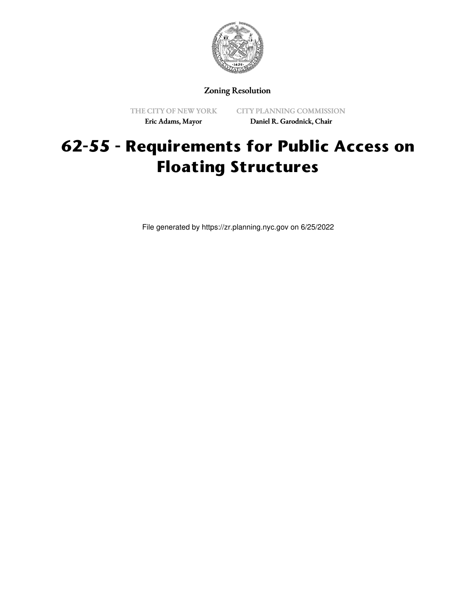

Zoning Resolution

THE CITY OF NEW YORK Eric Adams, Mayor

CITY PLANNING COMMISSION Daniel R. Garodnick, Chair

## **62-55 - Requirements for Public Access on Floating Structures**

File generated by https://zr.planning.nyc.gov on 6/25/2022